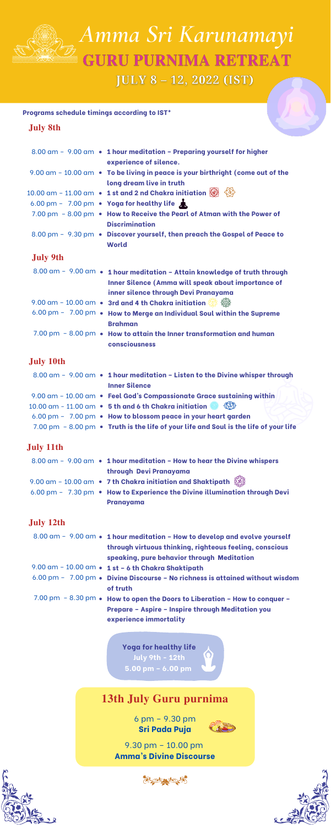# **13th July Guru purnima**

6 pm – 9.30 pm **Sri Pada Puja**



9.30 pm – 10.00 pm **Amma's Divine Discourse**









*Amma Sri Karunamayi* **GURU PURNIMA RETREAT JULY 8 - 12, 2022 (IST)** 

|                  | 8.00 am - 9.00 am • 1 hour meditation - Preparing yourself for higher<br>experience of silence.                                                                                |
|------------------|--------------------------------------------------------------------------------------------------------------------------------------------------------------------------------|
|                  | 9.00 am - 10.00 am • To be living in peace is your birthright (come out of the<br>long dream live in truth                                                                     |
|                  | 10.00 am - 11.00 am • 1 st and 2 nd Chakra initiation $\textcircled{3}$                                                                                                        |
|                  | 6.00 pm - 7.00 pm • Yoga for healthy life                                                                                                                                      |
|                  | 7.00 pm - 8.00 pm • How to Receive the Pearl of Atman with the Power of<br><b>Discrimination</b>                                                                               |
|                  | 8.00 pm - 9.30 pm • Discover yourself, then preach the Gospel of Peace to<br><b>World</b>                                                                                      |
| <b>July 9th</b>  |                                                                                                                                                                                |
|                  | 8.00 am - 9.00 am • 1 hour meditation - Attain knowledge of truth through<br><b>Inner Silence (Amma will speak about importance of</b><br>inner silence through Devi Pranayama |
|                  | 9.00 am - 10.00 am • 3rd and 4 th Chakra initiation $\circled{3}$                                                                                                              |
|                  | 6.00 pm - 7.00 pm . How to Merge an Individual Soul within the Supreme<br><b>Brahman</b>                                                                                       |
|                  | 7.00 pm - 8.00 pm • How to attain the Inner transformation and human<br>consciousness                                                                                          |
| <b>July 10th</b> |                                                                                                                                                                                |
|                  | 8.00 am - 9.00 am • 1 hour meditation - Listen to the Divine whisper through<br><b>Inner Silence</b>                                                                           |
|                  | 9.00 am - 10.00 am · Feel God's Compassionate Grace sustaining within                                                                                                          |
|                  | 10.00 am - 11.00 am • 5 th and 6 th Chakra initiation $\otimes$ $\langle \hat{\otimes} \rangle$                                                                                |
|                  | 6.00 pm - 7.00 pm • How to blossom peace in your heart garden                                                                                                                  |
|                  | 7.00 pm - 8.00 pm • Truth is the life of your life and Soul is the life of your life                                                                                           |
| <b>July 11th</b> |                                                                                                                                                                                |

|  | $8.00$ am - 9.00 am • 1 hour meditation - How to hear the Divine whispers                                           |
|--|---------------------------------------------------------------------------------------------------------------------|
|  | through Devi Pranayama                                                                                              |
|  | 9.00 am – 10.00 am $\;\bullet\;$ 7 th Chakra initiation and Shaktipath $\;\hat{\mathbb{S}\!}\;\hat{\!\!\mathbb{S}}$ |
|  | 6.00 pm - 7.30 pm • How to Experience the Divine illumination through Devi                                          |

**Pranayama**

| ш<br>Г |  |
|--------|--|
|--------|--|

- **1 hour meditation – How to develop and evolve yourself** 8.00 am 9.00 am **through virtuous thinking, righteous feeling, conscious speaking, pure behavior through Meditation**
- **1 st – 6 th Chakra Shaktipath** 9.00 am 10.00 am
- **Divine Discourse – No richness is attained without wisdom** 6.00 pm 7.00 pm **of truth**
- **How to open the Doors to Liberation – How to conquer –** 7.00 pm 8.30 pm **Prepare – Aspire – Inspire through Meditation you experience immortality**

### **July 12th**

**Yoga for healthy life July 9th - 12th 5.00 pm – 6.00 pm**

#### **Programs schedule timings according to IST\***